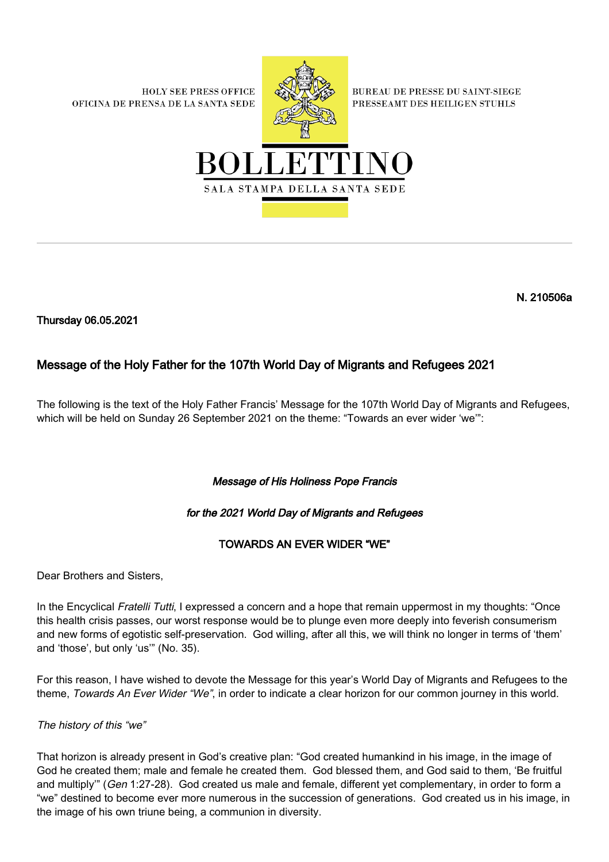**HOLY SEE PRESS OFFICE** OFICINA DE PRENSA DE LA SANTA SEDE



**BUREAU DE PRESSE DU SAINT-SIEGE** PRESSEAMT DES HEILIGEN STUHLS



N. 210506a

Thursday 06.05.2021

# Message of the Holy Father for the 107th World Day of Migrants and Refugees 2021

The following is the text of the Holy Father Francis' Message for the 107th World Day of Migrants and Refugees, which will be held on Sunday 26 September 2021 on the theme: "Towards an ever wider 'we'":

# Message of His Holiness Pope Francis

# for the 2021 World Day of Migrants and Refugees

# TOWARDS AN EVER WIDER "WE"

Dear Brothers and Sisters,

In the Encyclical Fratelli Tutti, I expressed a concern and a hope that remain uppermost in my thoughts: "Once this health crisis passes, our worst response would be to plunge even more deeply into feverish consumerism and new forms of egotistic self-preservation. God willing, after all this, we will think no longer in terms of 'them' and 'those', but only 'us'" (No. 35).

For this reason, I have wished to devote the Message for this year's World Day of Migrants and Refugees to the theme, Towards An Ever Wider "We", in order to indicate a clear horizon for our common journey in this world.

## The history of this "we"

That horizon is already present in God's creative plan: "God created humankind in his image, in the image of God he created them; male and female he created them. God blessed them, and God said to them, 'Be fruitful and multiply" (Gen 1:27-28). God created us male and female, different yet complementary, in order to form a "we" destined to become ever more numerous in the succession of generations. God created us in his image, in the image of his own triune being, a communion in diversity.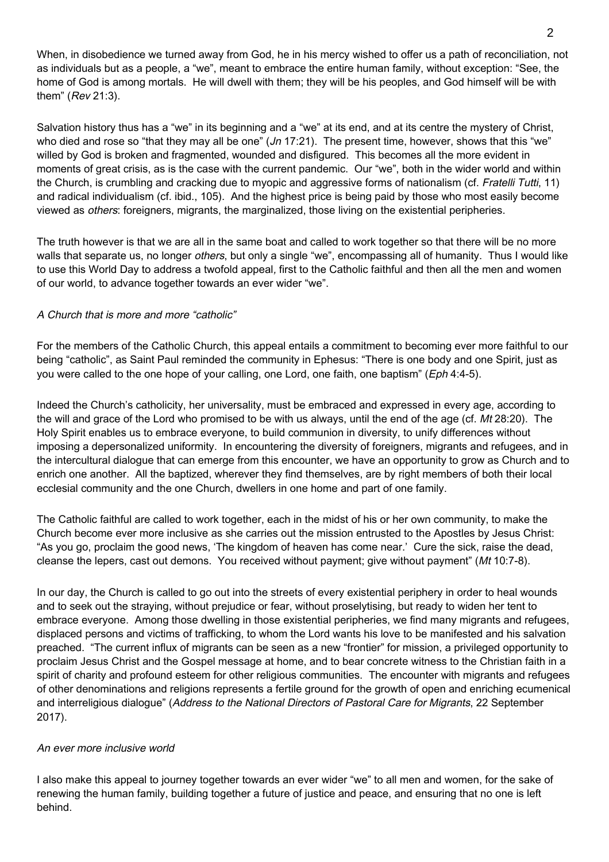When, in disobedience we turned away from God, he in his mercy wished to offer us a path of reconciliation, not as individuals but as a people, a "we", meant to embrace the entire human family, without exception: "See, the home of God is among mortals. He will dwell with them; they will be his peoples, and God himself will be with them" (Rev 21:3).

Salvation history thus has a "we" in its beginning and a "we" at its end, and at its centre the mystery of Christ, who died and rose so "that they may all be one" (*Jn* 17:21). The present time, however, shows that this "we" willed by God is broken and fragmented, wounded and disfigured. This becomes all the more evident in moments of great crisis, as is the case with the current pandemic. Our "we", both in the wider world and within the Church, is crumbling and cracking due to myopic and aggressive forms of nationalism (cf. Fratelli Tutti, 11) and radical individualism (cf. ibid., 105). And the highest price is being paid by those who most easily become viewed as others: foreigners, migrants, the marginalized, those living on the existential peripheries.

The truth however is that we are all in the same boat and called to work together so that there will be no more walls that separate us, no longer *others*, but only a single "we", encompassing all of humanity. Thus I would like to use this World Day to address a twofold appeal, first to the Catholic faithful and then all the men and women of our world, to advance together towards an ever wider "we".

## A Church that is more and more "catholic"

For the members of the Catholic Church, this appeal entails a commitment to becoming ever more faithful to our being "catholic", as Saint Paul reminded the community in Ephesus: "There is one body and one Spirit, just as you were called to the one hope of your calling, one Lord, one faith, one baptism" (Eph 4:4-5).

Indeed the Church's catholicity, her universality, must be embraced and expressed in every age, according to the will and grace of the Lord who promised to be with us always, until the end of the age (cf. Mt 28:20). The Holy Spirit enables us to embrace everyone, to build communion in diversity, to unify differences without imposing a depersonalized uniformity. In encountering the diversity of foreigners, migrants and refugees, and in the intercultural dialogue that can emerge from this encounter, we have an opportunity to grow as Church and to enrich one another. All the baptized, wherever they find themselves, are by right members of both their local ecclesial community and the one Church, dwellers in one home and part of one family.

The Catholic faithful are called to work together, each in the midst of his or her own community, to make the Church become ever more inclusive as she carries out the mission entrusted to the Apostles by Jesus Christ: "As you go, proclaim the good news, 'The kingdom of heaven has come near.' Cure the sick, raise the dead, cleanse the lepers, cast out demons. You received without payment; give without payment" (Mt 10:7-8).

In our day, the Church is called to go out into the streets of every existential periphery in order to heal wounds and to seek out the straying, without prejudice or fear, without proselytising, but ready to widen her tent to embrace everyone. Among those dwelling in those existential peripheries, we find many migrants and refugees, displaced persons and victims of trafficking, to whom the Lord wants his love to be manifested and his salvation preached. "The current influx of migrants can be seen as a new "frontier" for mission, a privileged opportunity to proclaim Jesus Christ and the Gospel message at home, and to bear concrete witness to the Christian faith in a spirit of charity and profound esteem for other religious communities. The encounter with migrants and refugees of other denominations and religions represents a fertile ground for the growth of open and enriching ecumenical and interreligious dialogue" (Address to the National Directors of Pastoral Care for Migrants, 22 September 2017).

#### An ever more inclusive world

I also make this appeal to journey together towards an ever wider "we" to all men and women, for the sake of renewing the human family, building together a future of justice and peace, and ensuring that no one is left behind.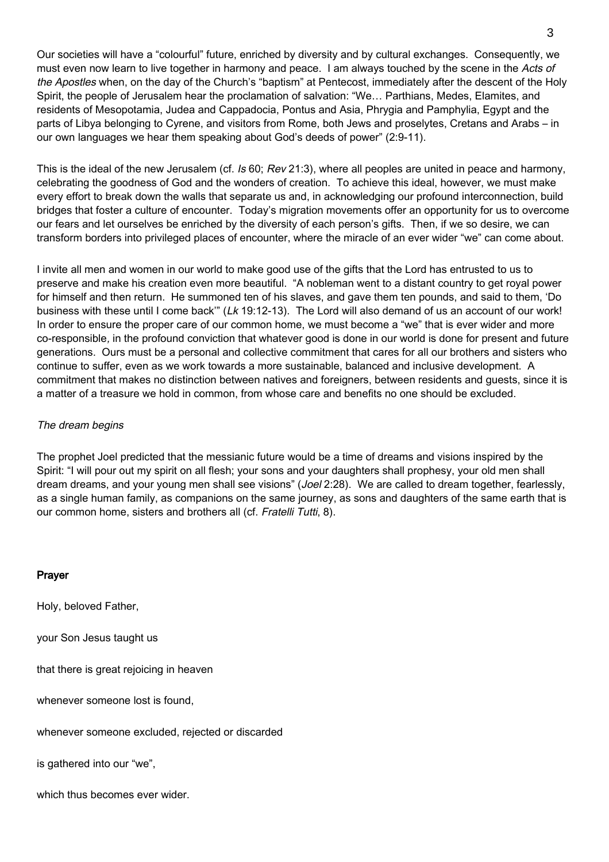Our societies will have a "colourful" future, enriched by diversity and by cultural exchanges. Consequently, we must even now learn to live together in harmony and peace. I am always touched by the scene in the Acts of the Apostles when, on the day of the Church's "baptism" at Pentecost, immediately after the descent of the Holy Spirit, the people of Jerusalem hear the proclamation of salvation: "We… Parthians, Medes, Elamites, and residents of Mesopotamia, Judea and Cappadocia, Pontus and Asia, Phrygia and Pamphylia, Egypt and the parts of Libya belonging to Cyrene, and visitors from Rome, both Jews and proselytes, Cretans and Arabs – in our own languages we hear them speaking about God's deeds of power" (2:9-11).

This is the ideal of the new Jerusalem (cf. Is 60; Rev 21:3), where all peoples are united in peace and harmony, celebrating the goodness of God and the wonders of creation. To achieve this ideal, however, we must make every effort to break down the walls that separate us and, in acknowledging our profound interconnection, build bridges that foster a culture of encounter. Today's migration movements offer an opportunity for us to overcome our fears and let ourselves be enriched by the diversity of each person's gifts. Then, if we so desire, we can transform borders into privileged places of encounter, where the miracle of an ever wider "we" can come about.

I invite all men and women in our world to make good use of the gifts that the Lord has entrusted to us to preserve and make his creation even more beautiful. "A nobleman went to a distant country to get royal power for himself and then return. He summoned ten of his slaves, and gave them ten pounds, and said to them, 'Do business with these until I come back" (Lk 19:12-13). The Lord will also demand of us an account of our work! In order to ensure the proper care of our common home, we must become a "we" that is ever wider and more co-responsible, in the profound conviction that whatever good is done in our world is done for present and future generations. Ours must be a personal and collective commitment that cares for all our brothers and sisters who continue to suffer, even as we work towards a more sustainable, balanced and inclusive development. A commitment that makes no distinction between natives and foreigners, between residents and guests, since it is a matter of a treasure we hold in common, from whose care and benefits no one should be excluded.

### The dream begins

The prophet Joel predicted that the messianic future would be a time of dreams and visions inspired by the Spirit: "I will pour out my spirit on all flesh; your sons and your daughters shall prophesy, your old men shall dream dreams, and your young men shall see visions" (*Joel* 2:28). We are called to dream together, fearlessly, as a single human family, as companions on the same journey, as sons and daughters of the same earth that is our common home, sisters and brothers all (cf. Fratelli Tutti, 8).

#### Prayer

Holy, beloved Father,

your Son Jesus taught us

that there is great rejoicing in heaven

whenever someone lost is found,

whenever someone excluded, rejected or discarded

is gathered into our "we",

which thus becomes ever wider.